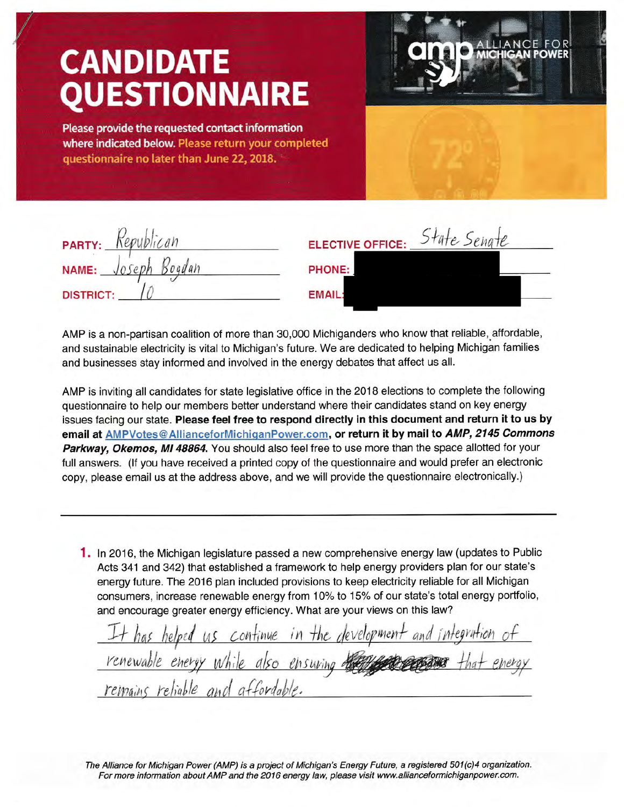## **CANDIDATE )UESTIONNAIRE**

Please provide the requested contact information where indicated below. Please return your completed questionnaire no later than June 22, 2018.



| PARTY: Republican   | ELECTIVE OFFICE: State Senate |
|---------------------|-------------------------------|
| NAME: Joseph Bogdan | PHONE:                        |
| <b>DISTRICT:</b>    | <b>EMAIL:</b>                 |

AMP is a non-partisan coalition of more than 30,000 Michiganders who know that reliable, affordable, and sustainable electricity is vital to Michigan's future. We are dedicated to helping Michigan families and businesses stay informed and involved in the energy debates that affect us all.

AMP is inviting all candidates for state legislative office in the 2018 elections to complete the following questionnaire to help our members better understand where their candidates stand on key energy issues facing our state. Please feel free to respond directly in this document and return it to us by email at AMPVotes@AllianceforMichiganPower.com, or return it by mail to AMP, 2145 Commons Parkway, Okemos, MI 48864. You should also feel free to use more than the space allotted for your full answers. (lf you have received a printed copy of the questionnaire and would prefer an electronic copy, please email us at the address above, and we will provide the questionnaire electronically.)

1. In 2016, the Michigan legislature passed a new comprehensive energy law (updates to Public Acts 341 and 342) that established a framework to help energy providers plan for our state's energy future. The 2016 plan included provisions to keep electricity reliable for all Michigan consumers, increase renewable energy from 10% to 15% of our state's total energy portfolio, and encourage greater energy efficiency. What are your views on this law?

It has helped us continue in the development and integration<br>renewable energy while also ensuring the receipt that e remains reliable and affordable.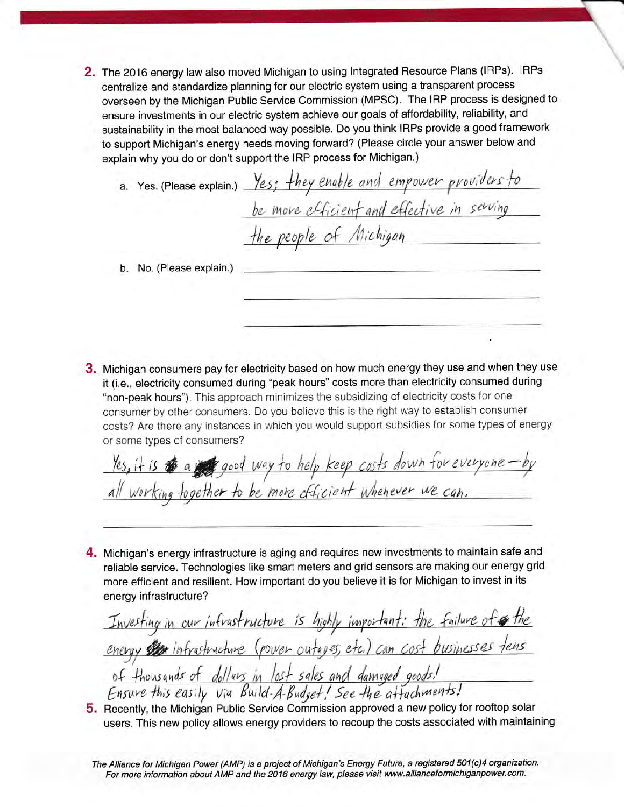2. The 2016 energy law also moved Michigan to using Integrated Resource Plans (IRPs). IRPs centralize and standardize planning for our electric system using a transparent process overseen by the Michigan Public Service Commission (MPSC). The IRP process is designed to ensure investments in our electric system achieve our goals of affordability, reliability, and sustainability in the most balanced way possible. Do you think IRPs provide a good framework to support Michigan's energy needs moving forward? (Please circle your answer below and explain why you do or don't support the IRP process for Michigan.)

a. Yes. (Please explain.) Yes; they enable and empower providers to be move efficient and effective in serving the people of Michigan b. No. (Please explain.)

3. Michigan consumers pay for electricity based on how much energy they use and when they use it (i.e., electricity consumed during "peak hours" costs more than electricity consumed during "non-peak hours"). This approach minimizes the subsidizing of electricity costs for one consumer by other consumers. Do you believe this is the right way to establish consumer costs? Are there any instances in which you would support subsidies for some types of energy or some types of consumers?

Yes, it is to a good way to help keep costs down for everyoneworking together to be more efficient whenever we can.

4. Michigan's energy infrastructure is aging and requires new investments to maintain safe and reliable service. Technologies like smart meters and grid sensors are making our energy grid more efficient and resilient. How important do you believe it is for Michigan to invest in its energy infrastructure?

Investing in our infrastructure is highly important: the failure of the energy strainfrastructure (power outages, etc.) can cost businesses tens of thousands of dollars in lost sales and damaged goods! Ensure this easily via Build-A-Budget! See the attachments!

5. Recently, the Michigan Public Service Commission approved a new policy for rooftop solar users. This new policy allows energy providers to recoup the costs associated with maintaining